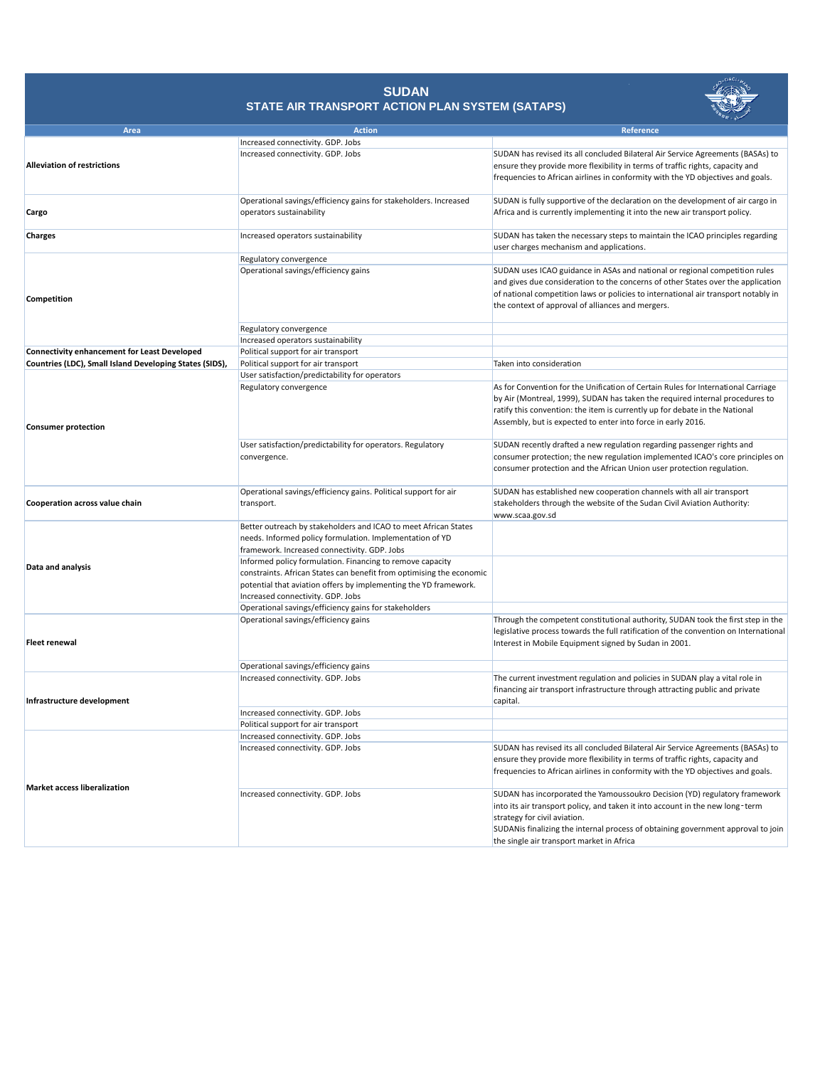|                                                         |                                                                      | <u>ण्य</u> ⊰                                                                         |
|---------------------------------------------------------|----------------------------------------------------------------------|--------------------------------------------------------------------------------------|
| <b>Area</b>                                             | <b>Action</b>                                                        | Reference                                                                            |
| <b>Alleviation of restrictions</b>                      | Increased connectivity. GDP. Jobs                                    |                                                                                      |
|                                                         | Increased connectivity. GDP. Jobs                                    | SUDAN has revised its all concluded Bilateral Air Service Agreements (BASAs) to      |
|                                                         |                                                                      | ensure they provide more flexibility in terms of traffic rights, capacity and        |
|                                                         |                                                                      | frequencies to African airlines in conformity with the YD objectives and goals.      |
|                                                         |                                                                      |                                                                                      |
|                                                         | Operational savings/efficiency gains for stakeholders. Increased     | SUDAN is fully supportive of the declaration on the development of air cargo in      |
| Cargo                                                   | operators sustainability                                             | Africa and is currently implementing it into the new air transport policy.           |
|                                                         |                                                                      |                                                                                      |
| <b>Charges</b>                                          | Increased operators sustainability                                   | SUDAN has taken the necessary steps to maintain the ICAO principles regarding        |
| Competition                                             |                                                                      | user charges mechanism and applications.                                             |
|                                                         | Regulatory convergence                                               |                                                                                      |
|                                                         | Operational savings/efficiency gains                                 | SUDAN uses ICAO guidance in ASAs and national or regional competition rules          |
|                                                         |                                                                      | and gives due consideration to the concerns of other States over the application     |
|                                                         |                                                                      | of national competition laws or policies to international air transport notably in   |
|                                                         |                                                                      | the context of approval of alliances and mergers.                                    |
|                                                         |                                                                      |                                                                                      |
|                                                         | Regulatory convergence                                               |                                                                                      |
|                                                         | Increased operators sustainability                                   |                                                                                      |
| <b>Connectivity enhancement for Least Developed</b>     | Political support for air transport                                  |                                                                                      |
| Countries (LDC), Small Island Developing States (SIDS), | Political support for air transport                                  | Taken into consideration                                                             |
|                                                         | User satisfaction/predictability for operators                       |                                                                                      |
|                                                         | Regulatory convergence                                               | As for Convention for the Unification of Certain Rules for International Carriage    |
|                                                         |                                                                      | by Air (Montreal, 1999), SUDAN has taken the required internal procedures to         |
|                                                         |                                                                      | ratify this convention: the item is currently up for debate in the National          |
|                                                         |                                                                      |                                                                                      |
| <b>Consumer protection</b>                              |                                                                      | Assembly, but is expected to enter into force in early 2016.                         |
|                                                         |                                                                      |                                                                                      |
|                                                         | User satisfaction/predictability for operators. Regulatory           | SUDAN recently drafted a new regulation regarding passenger rights and               |
|                                                         | convergence.                                                         | consumer protection; the new regulation implemented ICAO's core principles on        |
|                                                         |                                                                      | consumer protection and the African Union user protection regulation.                |
|                                                         |                                                                      |                                                                                      |
| <b>Cooperation across value chain</b>                   | Operational savings/efficiency gains. Political support for air      | SUDAN has established new cooperation channels with all air transport                |
|                                                         | transport.                                                           | stakeholders through the website of the Sudan Civil Aviation Authority:              |
|                                                         |                                                                      | www.scaa.gov.sd                                                                      |
| Data and analysis                                       | Better outreach by stakeholders and ICAO to meet African States      |                                                                                      |
|                                                         | needs. Informed policy formulation. Implementation of YD             |                                                                                      |
|                                                         | framework. Increased connectivity. GDP. Jobs                         |                                                                                      |
|                                                         | Informed policy formulation. Financing to remove capacity            |                                                                                      |
|                                                         | constraints. African States can benefit from optimising the economic |                                                                                      |
|                                                         | potential that aviation offers by implementing the YD framework.     |                                                                                      |
|                                                         | Increased connectivity. GDP. Jobs                                    |                                                                                      |
|                                                         | Operational savings/efficiency gains for stakeholders                |                                                                                      |
|                                                         | Operational savings/efficiency gains                                 | Through the competent constitutional authority, SUDAN took the first step in the     |
|                                                         |                                                                      | legislative process towards the full ratification of the convention on International |
| <b>Fleet renewal</b>                                    |                                                                      | Interest in Mobile Equipment signed by Sudan in 2001.                                |
|                                                         |                                                                      |                                                                                      |
|                                                         | Operational savings/efficiency gains                                 |                                                                                      |
| Infrastructure development                              | Increased connectivity. GDP. Jobs                                    | The current investment regulation and policies in SUDAN play a vital role in         |
|                                                         |                                                                      | financing air transport infrastructure through attracting public and private         |
|                                                         |                                                                      | capital.                                                                             |
|                                                         | Increased connectivity. GDP. Jobs                                    |                                                                                      |
|                                                         | Political support for air transport                                  |                                                                                      |
| <b>Market access liberalization</b>                     | Increased connectivity. GDP. Jobs                                    |                                                                                      |
|                                                         | Increased connectivity. GDP. Jobs                                    | SUDAN has revised its all concluded Bilateral Air Service Agreements (BASAs) to      |
|                                                         |                                                                      | ensure they provide more flexibility in terms of traffic rights, capacity and        |
|                                                         |                                                                      | frequencies to African airlines in conformity with the YD objectives and goals.      |
|                                                         |                                                                      |                                                                                      |
|                                                         | Increased connectivity. GDP. Jobs                                    | SUDAN has incorporated the Yamoussoukro Decision (YD) regulatory framework           |
|                                                         |                                                                      | into its air transport policy, and taken it into account in the new long-term        |
|                                                         |                                                                      | strategy for civil aviation.                                                         |
|                                                         |                                                                      | SUDANis finalizing the internal process of obtaining government approval to join     |
|                                                         |                                                                      | the single air transport market in Africa                                            |

## **SUDAN STATE AIR TRANSPORT ACTION PLAN SYSTEM (SATAPS)**